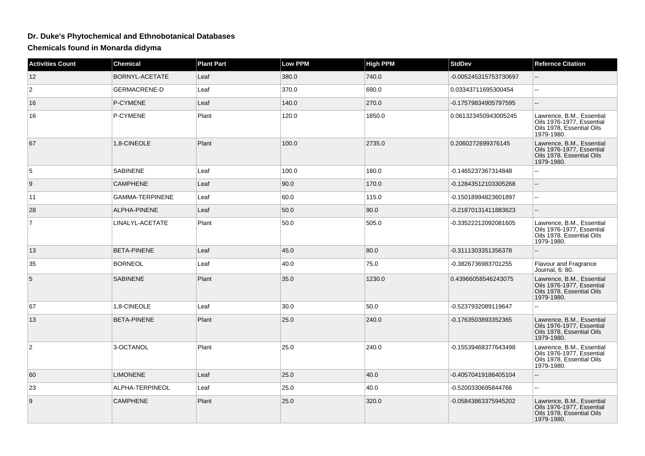## **Dr. Duke's Phytochemical and Ethnobotanical Databases**

**Chemicals found in Monarda didyma**

| <b>Activities Count</b> | <b>Chemical</b>        | <b>Plant Part</b> | <b>Low PPM</b> | <b>High PPM</b> | <b>StdDev</b>         | <b>Refernce Citation</b>                                                                          |
|-------------------------|------------------------|-------------------|----------------|-----------------|-----------------------|---------------------------------------------------------------------------------------------------|
| 12                      | BORNYL-ACETATE         | Leaf              | 380.0          | 740.0           | -0.005245315753730697 | $\sim$                                                                                            |
| $\overline{c}$          | <b>GERMACRENE-D</b>    | Leaf              | 370.0          | 690.0           | 0.03343711695300454   | $\mathbf{u}$                                                                                      |
| 16                      | P-CYMENE               | Leaf              | 140.0          | 270.0           | -0.17579834905797595  | $-$                                                                                               |
| 16                      | P-CYMENE               | Plant             | 120.0          | 1850.0          | 0.061323450943005245  | Lawrence, B.M., Essential<br>Oils 1976-1977, Essential<br>Oils 1978, Essential Oils<br>1979-1980. |
| 67                      | 1,8-CINEOLE            | Plant             | 100.0          | 2735.0          | 0.2060272699376145    | Lawrence, B.M., Essential<br>Oils 1976-1977, Essential<br>Oils 1978, Essential Oils<br>1979-1980. |
| 5                       | <b>SABINENE</b>        | Leaf              | 100.0          | 180.0           | -0.1465237367314848   |                                                                                                   |
| 9                       | <b>CAMPHENE</b>        | Leaf              | 90.0           | 170.0           | -0.12843512103305268  | u.                                                                                                |
| 11                      | <b>GAMMA-TERPINENE</b> | Leaf              | 60.0           | 115.0           | -0.15018994823601897  | $\mathbb{L}^{\mathbb{L}}$                                                                         |
| 28                      | ALPHA-PINENE           | Leaf              | 50.0           | 90.0            | -0.21870131411883623  | --                                                                                                |
| $\overline{7}$          | LINALYL-ACETATE        | Plant             | 50.0           | 505.0           | -0.33522212092081605  | Lawrence, B.M., Essential<br>Oils 1976-1977, Essential<br>Oils 1978, Essential Oils<br>1979-1980. |
| 13                      | <b>BETA-PINENE</b>     | Leaf              | 45.0           | 80.0            | -0.3111303351356378   |                                                                                                   |
| 35                      | <b>BORNEOL</b>         | Leaf              | 40.0           | 75.0            | -0.3826736983701255   | <b>Flavour and Fragrance</b><br>Journal, 6: 80.                                                   |
| 5                       | <b>SABINENE</b>        | Plant             | 35.0           | 1230.0          | 0.43966058546243075   | Lawrence, B.M., Essential<br>Oils 1976-1977, Essential<br>Oils 1978, Essential Oils<br>1979-1980. |
| 67                      | 1,8-CINEOLE            | Leaf              | 30.0           | 50.0            | -0.5237932089119647   |                                                                                                   |
| 13                      | <b>BETA-PINENE</b>     | Plant             | 25.0           | 240.0           | -0.1763503893352365   | Lawrence, B.M., Essential<br>Oils 1976-1977, Essential<br>Oils 1978, Essential Oils<br>1979-1980. |
| 2                       | 3-OCTANOL              | Plant             | 25.0           | 240.0           | -0.15539468377643498  | Lawrence, B.M., Essential<br>Oils 1976-1977. Essential<br>Oils 1978, Essential Oils<br>1979-1980. |
| 60                      | <b>LIMONENE</b>        | Leaf              | 25.0           | 40.0            | -0.40570419186405104  | Ξ.                                                                                                |
| 23                      | ALPHA-TERPINEOL        | Leaf              | 25.0           | 40.0            | -0.5200330695844766   | $\mathbf{u}$                                                                                      |
| 9                       | <b>CAMPHENE</b>        | Plant             | 25.0           | 320.0           | -0.05843863375945202  | Lawrence, B.M., Essential<br>Oils 1976-1977, Essential<br>Oils 1978, Essential Oils<br>1979-1980. |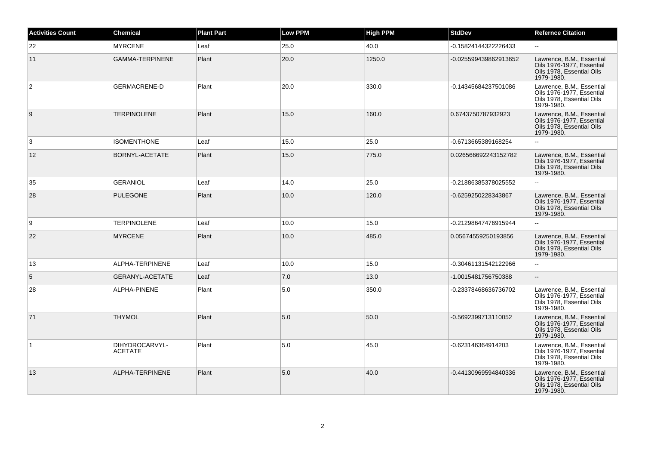| <b>Activities Count</b> | <b>Chemical</b>                  | <b>Plant Part</b> | <b>Low PPM</b> | <b>High PPM</b> | <b>StdDev</b>         | <b>Refernce Citation</b>                                                                          |
|-------------------------|----------------------------------|-------------------|----------------|-----------------|-----------------------|---------------------------------------------------------------------------------------------------|
| 22                      | <b>MYRCENE</b>                   | Leaf              | 25.0           | 40.0            | -0.15824144322226433  | $\overline{\phantom{a}}$                                                                          |
| 11                      | <b>GAMMA-TERPINENE</b>           | Plant             | 20.0           | 1250.0          | -0.025599439862913652 | Lawrence, B.M., Essential<br>Oils 1976-1977, Essential<br>Oils 1978, Essential Oils<br>1979-1980. |
| 2                       | <b>GERMACRENE-D</b>              | Plant             | 20.0           | 330.0           | -0.14345684237501086  | Lawrence, B.M., Essential<br>Oils 1976-1977, Essential<br>Oils 1978, Essential Oils<br>1979-1980. |
| $\boldsymbol{9}$        | <b>TERPINOLENE</b>               | Plant             | 15.0           | 160.0           | 0.6743750787932923    | Lawrence, B.M., Essential<br>Oils 1976-1977, Essential<br>Oils 1978, Essential Oils<br>1979-1980. |
| 3                       | <b>ISOMENTHONE</b>               | Leaf              | 15.0           | 25.0            | -0.6713665389168254   |                                                                                                   |
| 12                      | BORNYL-ACETATE                   | Plant             | 15.0           | 775.0           | 0.026566692243152782  | Lawrence, B.M., Essential<br>Oils 1976-1977, Essential<br>Oils 1978, Essential Oils<br>1979-1980. |
| 35                      | <b>GERANIOL</b>                  | Leaf              | 14.0           | 25.0            | -0.21886385378025552  | $\mathbf{u}$                                                                                      |
| 28                      | <b>PULEGONE</b>                  | Plant             | 10.0           | 120.0           | -0.6259250228343867   | Lawrence, B.M., Essential<br>Oils 1976-1977, Essential<br>Oils 1978, Essential Oils<br>1979-1980. |
| 9                       | <b>TERPINOLENE</b>               | Leaf              | 10.0           | 15.0            | -0.21298647476915944  | $\overline{a}$                                                                                    |
| 22                      | <b>MYRCENE</b>                   | Plant             | 10.0           | 485.0           | 0.05674559250193856   | Lawrence, B.M., Essential<br>Oils 1976-1977, Essential<br>Oils 1978, Essential Oils<br>1979-1980. |
| 13                      | ALPHA-TERPINENE                  | Leaf              | 10.0           | 15.0            | -0.30461131542122966  | $\overline{a}$                                                                                    |
| $\sqrt{5}$              | GERANYL-ACETATE                  | Leaf              | 7.0            | 13.0            | -1.0015481756750388   |                                                                                                   |
| 28                      | ALPHA-PINENE                     | Plant             | 5.0            | 350.0           | -0.23378468636736702  | Lawrence, B.M., Essential<br>Oils 1976-1977. Essential<br>Oils 1978, Essential Oils<br>1979-1980. |
| 71                      | <b>THYMOL</b>                    | Plant             | 5.0            | 50.0            | -0.5692399713110052   | Lawrence, B.M., Essential<br>Oils 1976-1977, Essential<br>Oils 1978, Essential Oils<br>1979-1980. |
| 11                      | DIHYDROCARVYL-<br><b>ACETATE</b> | Plant             | 5.0            | 45.0            | -0.623146364914203    | Lawrence, B.M., Essential<br>Oils 1976-1977. Essential<br>Oils 1978, Essential Oils<br>1979-1980. |
| 13                      | ALPHA-TERPINENE                  | Plant             | 5.0            | 40.0            | -0.44130969594840336  | Lawrence, B.M., Essential<br>Oils 1976-1977, Essential<br>Oils 1978, Essential Oils<br>1979-1980. |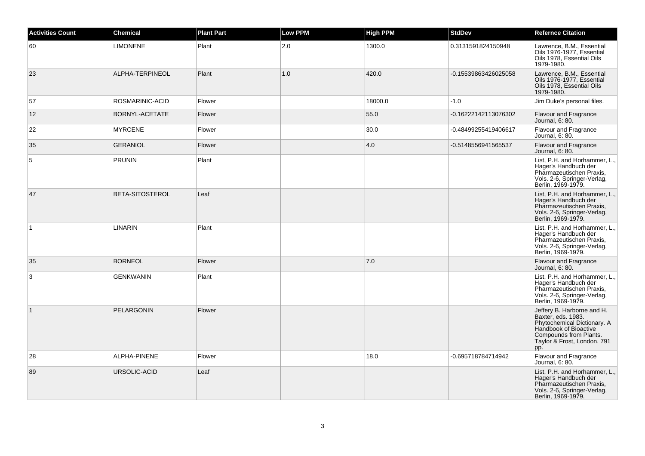| <b>Activities Count</b> | <b>Chemical</b>   | <b>Plant Part</b> | <b>Low PPM</b> | <b>High PPM</b> | <b>StdDev</b>        | <b>Refernce Citation</b>                                                                                                                                                 |
|-------------------------|-------------------|-------------------|----------------|-----------------|----------------------|--------------------------------------------------------------------------------------------------------------------------------------------------------------------------|
| 60                      | <b>LIMONENE</b>   | Plant             | 2.0            | 1300.0          | 0.3131591824150948   | Lawrence, B.M., Essential<br>Oils 1976-1977, Essential<br>Oils 1978, Essential Oils<br>1979-1980.                                                                        |
| 23                      | ALPHA-TERPINEOL   | Plant             | 1.0            | 420.0           | -0.15539863426025058 | Lawrence, B.M., Essential<br>Oils 1976-1977, Essential<br>Oils 1978, Essential Oils<br>1979-1980.                                                                        |
| 57                      | ROSMARINIC-ACID   | Flower            |                | 18000.0         | $-1.0$               | Jim Duke's personal files.                                                                                                                                               |
| 12                      | BORNYL-ACETATE    | Flower            |                | 55.0            | -0.16222142113076302 | <b>Flavour and Fragrance</b><br>Journal, 6: 80.                                                                                                                          |
| 22                      | <b>MYRCENE</b>    | Flower            |                | 30.0            | -0.48499255419406617 | Flavour and Fragrance<br>Journal, 6: 80.                                                                                                                                 |
| 35                      | <b>GERANIOL</b>   | Flower            |                | 4.0             | -0.5148556941565537  | Flavour and Fragrance<br>Journal, 6: 80.                                                                                                                                 |
| $\sqrt{5}$              | <b>PRUNIN</b>     | Plant             |                |                 |                      | List, P.H. and Horhammer, L.,<br>Hager's Handbuch der<br>Pharmazeutischen Praxis,<br>Vols. 2-6, Springer-Verlag,<br>Berlin, 1969-1979.                                   |
| 47                      | BETA-SITOSTEROL   | Leaf              |                |                 |                      | List, P.H. and Horhammer, L.,<br>Hager's Handbuch der<br>Pharmazeutischen Praxis,<br>Vols. 2-6, Springer-Verlag,<br>Berlin, 1969-1979.                                   |
| $\overline{1}$          | <b>LINARIN</b>    | Plant             |                |                 |                      | List, P.H. and Horhammer, L.,<br>Hager's Handbuch der<br>Pharmazeutischen Praxis,<br>Vols. 2-6, Springer-Verlag,<br>Berlin, 1969-1979.                                   |
| 35                      | <b>BORNEOL</b>    | Flower            |                | 7.0             |                      | Flavour and Fragrance<br>Journal, 6: 80.                                                                                                                                 |
| 3                       | <b>GENKWANIN</b>  | Plant             |                |                 |                      | List, P.H. and Horhammer, L.,<br>Hager's Handbuch der<br>Pharmazeutischen Praxis,<br>Vols. 2-6, Springer-Verlag,<br>Berlin, 1969-1979.                                   |
| $\vert$ 1               | <b>PELARGONIN</b> | Flower            |                |                 |                      | Jeffery B. Harborne and H.<br>Baxter, eds. 1983.<br>Phytochemical Dictionary. A<br>Handbook of Bioactive<br>Compounds from Plants.<br>Taylor & Frost, London. 791<br>pp. |
| 28                      | ALPHA-PINENE      | Flower            |                | 18.0            | -0.695718784714942   | <b>Flavour and Fragrance</b><br>Journal, 6: 80.                                                                                                                          |
| 89                      | URSOLIC-ACID      | Leaf              |                |                 |                      | List, P.H. and Horhammer, L.,<br>Hager's Handbuch der<br>Pharmazeutischen Praxis,<br>Vols. 2-6, Springer-Verlag,<br>Berlin, 1969-1979.                                   |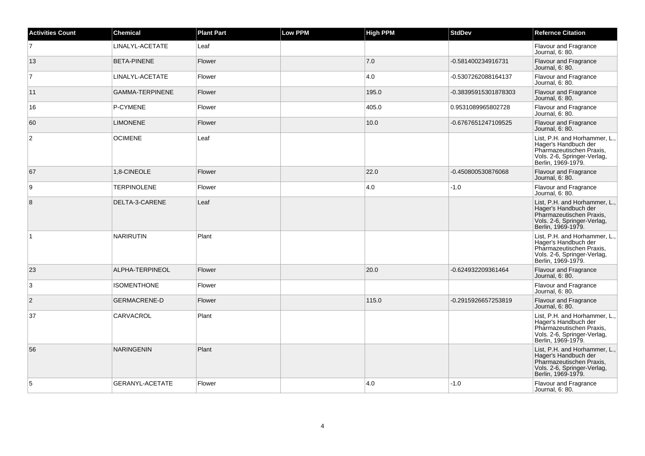| <b>Activities Count</b> | <b>Chemical</b>        | <b>Plant Part</b> | <b>Low PPM</b> | <b>High PPM</b> | <b>StdDev</b>        | <b>Refernce Citation</b>                                                                                                               |
|-------------------------|------------------------|-------------------|----------------|-----------------|----------------------|----------------------------------------------------------------------------------------------------------------------------------------|
| $\overline{7}$          | LINALYL-ACETATE        | Leaf              |                |                 |                      | Flavour and Fragrance<br>Journal, 6: 80.                                                                                               |
| 13                      | <b>BETA-PINENE</b>     | Flower            |                | 7.0             | -0.581400234916731   | Flavour and Fragrance<br>Journal, 6: 80.                                                                                               |
| $\overline{7}$          | LINALYL-ACETATE        | Flower            |                | 4.0             | -0.5307262088164137  | Flavour and Fragrance<br>Journal, 6: 80.                                                                                               |
| 11                      | <b>GAMMA-TERPINENE</b> | Flower            |                | 195.0           | -0.38395915301878303 | Flavour and Fragrance<br>Journal, 6: 80.                                                                                               |
| 16                      | P-CYMENE               | Flower            |                | 405.0           | 0.9531089965802728   | Flavour and Fragrance<br>Journal, 6: 80.                                                                                               |
| 60                      | <b>LIMONENE</b>        | Flower            |                | 10.0            | -0.6767651247109525  | <b>Flavour and Fragrance</b><br>Journal, 6: 80.                                                                                        |
| $\overline{2}$          | <b>OCIMENE</b>         | Leaf              |                |                 |                      | List, P.H. and Horhammer, L.,<br>Hager's Handbuch der<br>Pharmazeutischen Praxis.<br>Vols. 2-6, Springer-Verlag,<br>Berlin, 1969-1979. |
| 67                      | 1,8-CINEOLE            | Flower            |                | 22.0            | -0.450800530876068   | <b>Flavour and Fragrance</b><br>Journal, 6: 80.                                                                                        |
| 9                       | <b>TERPINOLENE</b>     | Flower            |                | 4.0             | $-1.0$               | Flavour and Fragrance<br>Journal, 6: 80.                                                                                               |
| 8                       | DELTA-3-CARENE         | Leaf              |                |                 |                      | List, P.H. and Horhammer, L.,<br>Hager's Handbuch der<br>Pharmazeutischen Praxis,<br>Vols. 2-6, Springer-Verlag,<br>Berlin. 1969-1979. |
| $\overline{1}$          | <b>NARIRUTIN</b>       | Plant             |                |                 |                      | List, P.H. and Horhammer, L.,<br>Hager's Handbuch der<br>Pharmazeutischen Praxis,<br>Vols. 2-6, Springer-Verlag,<br>Berlin, 1969-1979. |
| 23                      | ALPHA-TERPINEOL        | Flower            |                | 20.0            | -0.624932209361464   | <b>Flavour and Fragrance</b><br>Journal, 6: 80.                                                                                        |
| 3                       | <b>ISOMENTHONE</b>     | Flower            |                |                 |                      | Flavour and Fragrance<br>Journal, 6: 80.                                                                                               |
| 2                       | <b>GERMACRENE-D</b>    | Flower            |                | 115.0           | -0.2915926657253819  | Flavour and Fragrance<br>Journal, 6: 80.                                                                                               |
| 37                      | CARVACROL              | Plant             |                |                 |                      | List, P.H. and Horhammer, L.,<br>Hager's Handbuch der<br>Pharmazeutischen Praxis,<br>Vols. 2-6, Springer-Verlag,<br>Berlin, 1969-1979. |
| 56                      | <b>NARINGENIN</b>      | Plant             |                |                 |                      | List, P.H. and Horhammer, L.,<br>Hager's Handbuch der<br>Pharmazeutischen Praxis,<br>Vols. 2-6, Springer-Verlag,<br>Berlin, 1969-1979. |
| 5                       | <b>GERANYL-ACETATE</b> | Flower            |                | 4.0             | $-1.0$               | Flavour and Fragrance<br>Journal, 6: 80.                                                                                               |